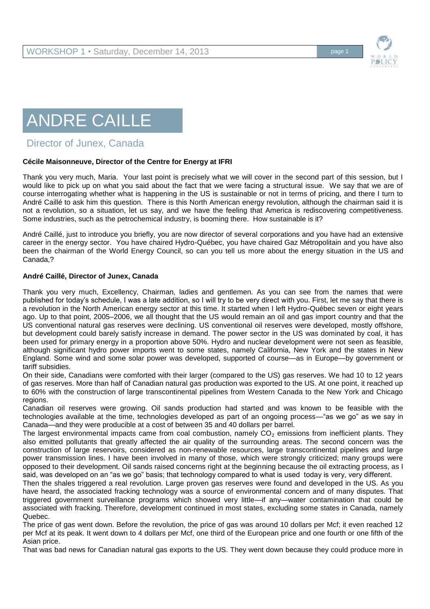

## ANDRE CAILLE

## Director of Junex, Canada

## **Cécile Maisonneuve, Director of the Centre for Energy at IFRI**

Thank you very much, Maria. Your last point is precisely what we will cover in the second part of this session, but I would like to pick up on what you said about the fact that we were facing a structural issue. We say that we are of course interrogating whether what is happening in the US is sustainable or not in terms of pricing, and there I turn to André Caillé to ask him this question. There is this North American energy revolution, although the chairman said it is not a revolution, so a situation, let us say, and we have the feeling that America is rediscovering competitiveness. Some industries, such as the petrochemical industry, is booming there. How sustainable is it?

André Caillé, just to introduce you briefly, you are now director of several corporations and you have had an extensive career in the energy sector. You have chaired Hydro-Québec, you have chaired Gaz Métropolitain and you have also been the chairman of the World Energy Council, so can you tell us more about the energy situation in the US and Canada,?

## **André Caillé, Director of Junex, Canada**

Thank you very much, Excellency, Chairman, ladies and gentlemen. As you can see from the names that were published for today's schedule, I was a late addition, so I will try to be very direct with you. First, let me say that there is a revolution in the North American energy sector at this time. It started when I left Hydro-Québec seven or eight years ago. Up to that point, 2005–2006, we all thought that the US would remain an oil and gas import country and that the US conventional natural gas reserves were declining. US conventional oil reserves were developed, mostly offshore, but development could barely satisfy increase in demand. The power sector in the US was dominated by coal, it has been used for primary energy in a proportion above 50%. Hydro and nuclear development were not seen as feasible, although significant hydro power imports went to some states, namely California, New York and the states in New England. Some wind and some solar power was developed, supported of course—as in Europe—by government or tariff subsidies.

On their side, Canadians were comforted with their larger (compared to the US) gas reserves. We had 10 to 12 years of gas reserves. More than half of Canadian natural gas production was exported to the US. At one point, it reached up to 60% with the construction of large transcontinental pipelines from Western Canada to the New York and Chicago regions.

Canadian oil reserves were growing. Oil sands production had started and was known to be feasible with the technologies available at the time, technologies developed as part of an ongoing process—"as we go" as we say in Canada—and they were producible at a cost of between 35 and 40 dollars per barrel.

The largest environmental impacts came from coal combustion, namely  $CO<sub>2</sub>$  emissions from inefficient plants. They also emitted pollutants that greatly affected the air quality of the surrounding areas. The second concern was the construction of large reservoirs, considered as non-renewable resources, large transcontinental pipelines and large power transmission lines. I have been involved in many of those, which were strongly criticized; many groups were opposed to their development. Oil sands raised concerns right at the beginning because the oil extracting process, as I said, was developed on an "as we go" basis; that technology compared to what is used today is very, very different.

Then the shales triggered a real revolution. Large proven gas reserves were found and developed in the US. As you have heard, the associated fracking technology was a source of environmental concern and of many disputes. That triggered government surveillance programs which showed very little—if any—water contamination that could be associated with fracking. Therefore, development continued in most states, excluding some states in Canada, namely Quebec.

The price of gas went down. Before the revolution, the price of gas was around 10 dollars per Mcf; it even reached 12 per Mcf at its peak. It went down to 4 dollars per Mcf, one third of the European price and one fourth or one fifth of the Asian price.

That was bad news for Canadian natural gas exports to the US. They went down because they could produce more in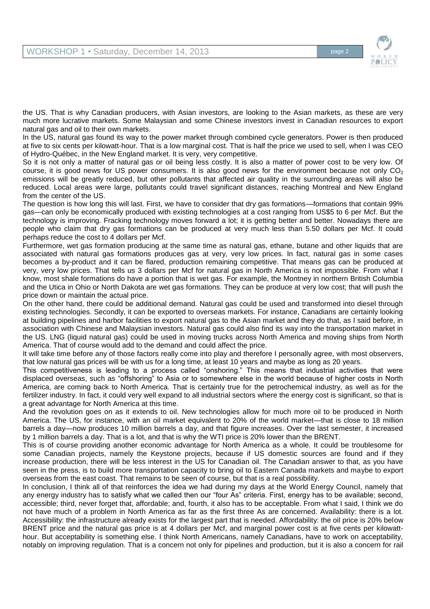

the US. That is why Canadian producers, with Asian investors, are looking to the Asian markets, as these are very much more lucrative markets. Some Malaysian and some Chinese investors invest in Canadian resources to export natural gas and oil to their own markets.

In the US, natural gas found its way to the power market through combined cycle generators. Power is then produced at five to six cents per kilowatt-hour. That is a low marginal cost. That is half the price we used to sell, when I was CEO of Hydro-Québec, in the New England market. It is very, very competitive.

So it is not only a matter of natural gas or oil being less costly. It is also a matter of power cost to be very low. Of course, it is good news for US power consumers. It is also good news for the environment because not only  $CO<sub>2</sub>$ emissions will be greatly reduced, but other pollutants that affected air quality in the surrounding areas will also be reduced. Local areas were large, pollutants could travel significant distances, reaching Montreal and New England from the center of the US.

The question is how long this will last. First, we have to consider that dry gas formations—formations that contain 99% gas—can only be economically produced with existing technologies at a cost ranging from US\$5 to 6 per Mcf. But the technology is improving. Fracking technology moves forward a lot; it is getting better and better. Nowadays there are people who claim that dry gas formations can be produced at very much less than 5.50 dollars per Mcf. It could perhaps reduce the cost to 4 dollars per Mcf.

Furthermore, wet gas formation producing at the same time as natural gas, ethane, butane and other liquids that are associated with natural gas formations produces gas at very, very low prices. In fact, natural gas in some cases becomes a by-product and it can be flared, production remaining competitive. That means gas can be produced at very, very low prices. That tells us 3 dollars per Mcf for natural gas in North America is not impossible. From what I know, most shale formations do have a portion that is wet gas. For example, the Montney in northern British Columbia and the Utica in Ohio or North Dakota are wet gas formations. They can be produce at very low cost; that will push the price down or maintain the actual price.

On the other hand, there could be additional demand. Natural gas could be used and transformed into diesel through existing technologies. Secondly, it can be exported to overseas markets. For instance, Canadians are certainly looking at building pipelines and harbor facilities to export natural gas to the Asian market and they do that, as I said before, in association with Chinese and Malaysian investors. Natural gas could also find its way into the transportation market in the US. LNG (liquid natural gas) could be used in moving trucks across North America and moving ships from North America. That of course would add to the demand and could affect the price.

It will take time before any of those factors really come into play and therefore I personally agree, with most observers, that low natural gas prices will be with us for a long time, at least 10 years and maybe as long as 20 years.

This competitiveness is leading to a process called "onshoring." This means that industrial activities that were displaced overseas, such as "offshoring" to Asia or to somewhere else in the world because of higher costs in North America, are coming back to North America. That is certainly true for the petrochemical industry, as well as for the fertilizer industry. In fact, it could very well expand to all industrial sectors where the energy cost is significant, so that is a great advantage for North America at this time.

And the revolution goes on as it extends to oil. New technologies allow for much more oil to be produced in North America. The US, for instance, with an oil market equivalent to 20% of the world market—that is close to 18 million barrels a day—now produces 10 million barrels a day, and that figure increases. Over the last semester, it increased by 1 million barrels a day. That is a lot, and that is why the WTI price is 20% lower than the BRENT.

This is of course providing another economic advantage for North America as a whole. It could be troublesome for some Canadian projects, namely the Keystone projects, because if US domestic sources are found and if they increase production, there will be less interest in the US for Canadian oil. The Canadian answer to that, as you have seen in the press, is to build more transportation capacity to bring oil to Eastern Canada markets and maybe to export overseas from the east coast. That remains to be seen of course, but that is a real possibility.

In conclusion, I think all of that reinforces the idea we had during my days at the World Energy Council, namely that any energy industry has to satisfy what we called then our "four As" criteria. First, energy has to be available; second, accessible; third, never forget that, affordable; and, fourth, it also has to be acceptable. From what I said, I think we do not have much of a problem in North America as far as the first three As are concerned. Availability: there is a lot. Accessibility: the infrastructure already exists for the largest part that is needed. Affordability: the oil price is 20% below BRENT price and the natural gas price is at 4 dollars per Mcf, and marginal power cost is at five cents per kilowatthour. But acceptability is something else. I think North Americans, namely Canadians, have to work on acceptability, notably on improving regulation. That is a concern not only for pipelines and production, but it is also a concern for rail